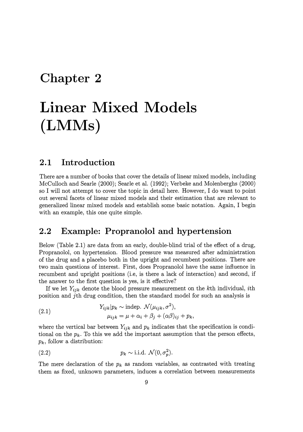## **Chapter 2**

# **Linear Mixed Models (LMMs)**

## **2.1 Introduction**

There are a number of books that cover the details of linear mixed models, including McCulloch and Searle (2000); Searle et al. (1992); Verbeke and Molenberghs (2000) so I will not attempt to cover the topic in detail here. However, I do want to point out several facets of linear mixed models and their estimation that are relevant to generalized linear mixed models and establish some basic notation. Again, I begin with an example, this one quite simple.

## **2.2 Example: Propranolol and hypertension**

Below (Table 2.1) are data from an early, double-blind trial of the effect of a drug, Propranolol, on hypertension. Blood pressure was measured after administration of the drug and a placebo both in the upright and recumbent positions. There are two main questions of interest. First, does Propranolol have the same influence in recumbent and upright positions (i.e, is there a lack of interaction) and second, if the answer to the first question is yes, is it effective?

If we let  $Y_{ijk}$  denote the blood pressure measurement on the  $k$ th individual, *i*th position and jth drug condition, then the standard model for such an analysis is

(2.1) 
$$
Y_{ijk}|p_k \sim \text{indep. } \mathcal{N}(\mu_{ijk}, \sigma^2),
$$

$$
\mu_{ijk} = \mu + \alpha_i + \beta_j + (\alpha\beta)_{ij} + p_k,
$$

where the vertical bar between  $Y_{ijk}$  and  $p_k$  indicates that the specification is conditional on the  $p_k$ . To this we add the important assumption that the person effects, *Pk,* follow a distribution:

$$
(2.2) \t\t\t p_k \sim \text{i.i.d. } \mathcal{N}(0, \sigma_p^2).
$$

The mere declaration of the  $p_k$  as random variables, as contrasted with treating them as fixed, unknown parameters, induces a correlation between measurements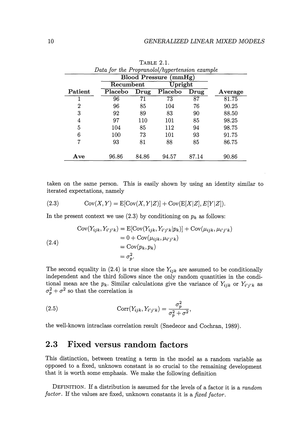| Data for the Propranolol/hypertension example |                              |       |         |       |         |  |
|-----------------------------------------------|------------------------------|-------|---------|-------|---------|--|
|                                               | <b>Blood Pressure (mmHg)</b> |       |         |       |         |  |
|                                               | Recumbent                    |       | Upright |       |         |  |
| Patient                                       | Placebo                      | Drug  | Placebo | Drug  | Average |  |
|                                               | 96                           | 71    | 73      | 87    | 81.75   |  |
| 2                                             | 96                           | 85    | 104     | 76    | 90.25   |  |
| 3                                             | 92                           | 89    | 83      | 90    | 88.50   |  |
| 4                                             | 97                           | 110   | 101     | 85    | 98.25   |  |
| 5                                             | 104                          | 85    | 112     | 94    | 98.75   |  |
| 6                                             | 100                          | 73    | 101     | 93    | 91.75   |  |
| 7                                             | 93                           | 81    | 88      | 85    | 86.75   |  |
|                                               |                              |       |         |       |         |  |
| Ave                                           | 96.86                        | 84.86 | 94.57   | 87.14 | 90.86   |  |

TABLE 2.1. *Data for the Propranolol/hypertension example* 

taken on the same person. This is easily shown by using an identity similar to iterated expectations, namely

(2.3) 
$$
Cov(X, Y) = E[Cov(X, Y|Z)] + Cov(E[X|Z], E[Y|Z]).
$$

In the present context we use (2.3) by conditioning on  $p_k$  as follows:

(2.4)  
\n
$$
\begin{aligned}\n\text{Cov}(Y_{ijk}, Y_{i'j'k}) &= \mathbb{E}[\text{Cov}(Y_{ijk}, Y_{i'j'k}|p_k)] + \text{Cov}(\mu_{ijk}, \mu_{i'j'k}) \\
&= 0 + \text{Cov}(\mu_{ijk}, \mu_{i'j'k}) \\
&= \text{Cov}(p_k, p_k) \\
&= \sigma_p^2.\n\end{aligned}
$$

The second equality in (2.4) is true since the  $Y_{ijk}$  are assumed to be conditionally independent and the third follows since the only random quantities in the conditional mean are the  $p_k$ . Similar calculations give the variance of  $Y_{ijk}$  or  $Y_{i'j'k}$  as  $\sigma_p^2 + \sigma^2$  so that the correlation is

(2.5) 
$$
\operatorname{Corr}(Y_{ijk}, Y_{i'j'k}) = \frac{\sigma_p^2}{\sigma_p^2 + \sigma^2},
$$

the well-known intraclass correlation result (Snedecor and Cochran, 1989).

## 2.3 Fixed versus random factors

This distinction, between treating a term in the model as a random variable as opposed to a fixed, unknown constant is so crucial to the remaining development that it is worth some emphasis. We make the following definition

DEFINITION. If a distribution is assumed for the levels of a factor it is a *random factor.* If the values are fixed, unknown constants it is a *fixed factor.*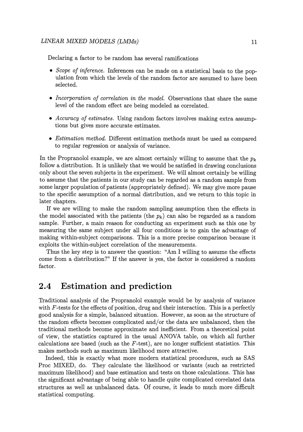Declaring a factor to be random has several ramifications

- *Scope of inference.* Inferences can be made on a statistical basis to the population from which the levels of the random factor are assumed to have been selected.
- *Incorporation of correlation in the model.* Observations that share the same level of the random effect are being modeled as correlated.
- *Accuracy of estimates.* Using random factors involves making extra assumptions but gives more accurate estimates.
- *Estimation method.* Different estimation methods must be used as compared to regular regression or analysis of variance.

In the Propranolol example, we are almost certainly willing to assume that the  $p_k$ follow a distribution. It is unlikely that we would be satisfied in drawing conclusions only about the seven subjects in the experiment. We will almost certainly be willing to assume that the patients in our study can be regarded as a random sample from some larger population of patients (appropriately defined). We may give more pause to the specific assumption of a normal distribution, and we return to this topic in later chapters.

If we are willing to make the random sampling assumption then the effects in the model associated with the patients (the  $p_k$ ) can also be regarded as a random sample. Further, a main reason for conducting an experiment such as this one by measuring the same subject under all four conditions is to gain the advantage of making within-subject comparisons. This is a more precise comparison because it exploits the within-subject correlation of the measurements.

Thus the key step is to answer the question: "Am I willing to assume the effects come from a distribution?" If the answer is yes, the factor is considered a random factor.

## **2.4 Estimation and prediction**

Traditional analysis of the Propranolol example would be by analysis of variance with  $F$ -tests for the effects of position, drug and their interaction. This is a perfectly good analysis for a simple, balanced situation. However, as soon as the structure of the random effects becomes complicated and/or the data are unbalanced, then the traditional methods become approximate and inefficient. From a theoretical point of view, the statistics captured in the usual ANOVA table, on which all further calculations are based (such as the  $F$ -test), are no longer sufficient statistics. This makes methods such as maximum likelihood more attractive.

Indeed, this is exactly what more modern statistical procedures, such as SAS Proc MIXED, do. They calculate the likelihood or variants (such as restricted maximum likelihood) and base estimation and tests on those calculations. This has the significant advantage of being able to handle quite complicated correlated data structures as well as unbalanced data. Of course, it leads to much more difficult statistical computing.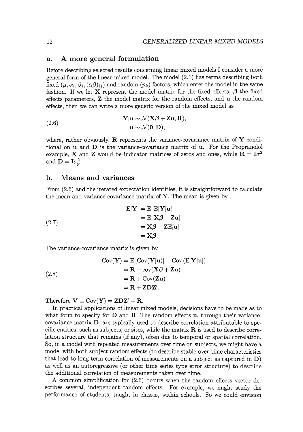#### **a. A more general formulation**

Before describing selected results concerning linear mixed models I consider a more general form of the linear mixed model. The model (2.1) has terms describing both fixed  $(\mu, \alpha_i, \beta_i, (\alpha\beta)_{ii})$  and random  $(p_k)$  factors, which enter the model in the same fashion. If we let **X** represent the model matrix for the fixed effects,  $\beta$  the fixed effects parameters, **Z** the model matrix for the random effects, and **u** the random effects, then we can write a more generic version of the mixed model as

(2.6) 
$$
\mathbf{Y}|\mathbf{u} \sim \mathcal{N}(\mathbf{X}\boldsymbol{\beta} + \mathbf{Z}\mathbf{u}, \mathbf{R}),
$$

$$
\mathbf{u} \sim \mathcal{N}(\mathbf{0}, \mathbf{D}),
$$

where, rather obviously, **R** represents the variance-covariance matrix of **Y** conditional on **u** and **D** is the variance-covariance matrix of **u.** For the Propranolol example, **X** and **Z** would be indicator matrices of zeros and ones, while  $\mathbf{R} = \mathbf{I}\sigma^2$ and  $\mathbf{D} = \mathbf{I}\sigma_p^2$ .

#### **b. Means and variances**

From (2.6) and the iterated expectation identities, it is straightforward to calculate the mean and variance-covariance matrix of  $Y$ . The mean is given by

$$
E[\mathbf{Y}] = E [E[\mathbf{Y}|\mathbf{u}]]
$$
  
= E [X $\beta$  + Z $\mathbf{u}$ ]]  
= X $\beta$  + Z $E[\mathbf{u}]$   
= X $\beta$ .

The variance-covariance matrix is given by

(2.8)  
\n
$$
Cov(\mathbf{Y}) = E [Cov(\mathbf{Y}|\mathbf{u})] + Cov (E[\mathbf{Y}|\mathbf{u}])
$$
\n
$$
= \mathbf{R} + cov(\mathbf{X}\boldsymbol{\beta} + \mathbf{Z}\mathbf{u})
$$
\n
$$
= \mathbf{R} + Cov(\mathbf{Z}\mathbf{u})
$$
\n
$$
= \mathbf{R} + \mathbf{Z} \mathbf{D} \mathbf{Z'}.
$$

Therefore  $V \equiv Cov(Y) = ZDZ' + R$ .

In practical applications of linear mixed models, decisions have to be made as to what form to specify for **D** and **R**. The random effects **u**, through their variancecovariance matrix **D,** are typically used to describe correlation attributable to specific entities, such as subjects, or sites, while the matrix **R** is used to describe correlation structure that remains (if any), often due to temporal or spatial correlation. So, in a model with repeated measurements over time on subjects, we might have a model with both subject random effects (to describe stable-over-time characteristics that lead to long term correlation of measurements on a subject as captured in **D)**  as well as an autoregressive (or other time series type error structure) to describe the additional correlation of measurements taken over time.

A common simplification for (2.6) occurs when the random effects vector describes several, independent random effects. For example, we might study the performance of students, taught in classes, within schools. So we could envision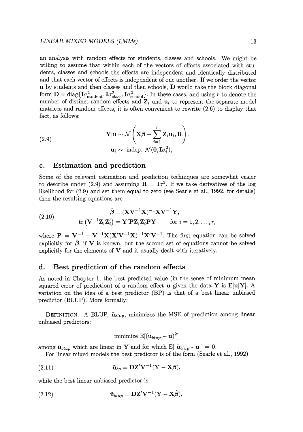#### *LINEAR MIXED MODELS (LMMs)* 13

an analysis with random effects for students, classes and schools. We might be willing to assume that within each of the vectors of effects associated with students, classes and schools the effects are independent and identically distributed and that each vector of effects is independent of one another. If we order the vector **u** by students and then classes and then schools, **D** would take the block diagonal form  $D = diag\{I\sigma_{student}^2, I\sigma_{class}^2, I\sigma_{school}^2\}$ . In these cases, and using r to denote the number of distinct random effects and  $\mathbf{Z}_i$  and  $\mathbf{u}_i$  to represent the separate model matrices and random effects, it is often convenient to rewrite (2.6) to display that fact, as follows:

(2.9) 
$$
\mathbf{Y}|\mathbf{u} \sim \mathcal{N}\left(\mathbf{X}\boldsymbol{\beta} + \sum_{i=1}^{r} \mathbf{Z}_{i} \mathbf{u}_{i}, \mathbf{R}\right),
$$

$$
\mathbf{u}_{i} \sim \text{ indep. } \mathcal{N}(\mathbf{0}, \mathbf{I}\sigma_{i}^{2}),
$$

#### **c. Estimation and prediction**

Some of the relevant estimation and prediction techniques are somewhat easier to describe under (2.9) and assuming  $\mathbf{R} = \mathbf{I}\sigma^2$ . If we take derivatives of the log likelihood for (2.9) and set them equal to zero (see Searle et al., 1992, for details) then the resulting equations are

(2.10) 
$$
\hat{\boldsymbol{\beta}} = (\mathbf{X}\mathbf{V}^{-1}\mathbf{X})^{-1}\mathbf{X}\mathbf{V}^{-1}\mathbf{Y},
$$

$$
\text{tr}(\mathbf{V}^{-1}\mathbf{Z}_i\mathbf{Z}_i') = \mathbf{Y}'\mathbf{P}\mathbf{Z}_i\mathbf{Z}_i'\mathbf{P}\mathbf{Y} \qquad \text{for } i = 1, 2, ..., r,
$$

where  $P = V^{-1} - V^{-1}X(X'V^{-1}X)^{-1}X'V^{-1}$ . The first equation can be solved explicitly for  $\hat{\beta}$ , if V is known, but the second set of equations cannot be solved explicitly for the elements of  $V$  and it usually dealt with iteratively.

#### **d. Best prediction of the random effects**

As noted in Chapter 1, the best predicted value (in the sense of minimum mean squared error of prediction) of a random effect **u** given the data **Y** is  $E[\mathbf{u}|\mathbf{Y}]$ . A variation on the idea of a best predictor (BP) is that of a best linear unbiased predictor (BLUP). More formally:

DEFINITION. A BLUP,  $\tilde{u}_{blup}$ , minimizes the MSE of prediction among linear unbiased predictors:

$$
\text{minimize} \; \mathrm{E}[(\tilde{\mathbf{u}}_{blup} - \mathbf{u})^2]
$$

among  $\tilde{\mathbf{u}}_{blup}$  which are linear in Y and for which E[  $\tilde{\mathbf{u}}_{blup}$  - **u**] = 0.

For linear mixed models the best predictor is of the form (Searle et al., 1992)

(2.11) 
$$
\tilde{\mathbf{u}}_{bp} = \mathbf{D}\mathbf{Z}'\mathbf{V}^{-1}(\mathbf{Y} - \mathbf{X}\boldsymbol{\beta}),
$$

while the best linear unbiased predictor is

(2.12) 
$$
\tilde{\mathbf{u}}_{blup} = \mathbf{DZ}'\mathbf{V}^{-1}(\mathbf{Y} - \mathbf{X}\hat{\boldsymbol{\beta}}),
$$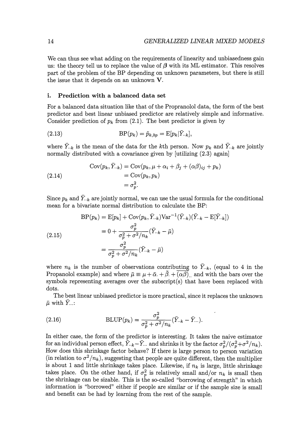We can thus see what adding on the requirements of linearity and unbiasedness gain us: the theory tell us to replace the value of  $\beta$  with its ML estimator. This resolves part of the problem of the BP depending on unknown parameters, but there is still the issue that it depends on an unknown **V.** 

#### **i. Prediction with a balanced data set**

For a balanced data situation like that of the Propranolol data, the form of the best predictor and best linear unbiased predictor are relatively simple and informative. Consider prediction of  $p_k$  from  $(2.1)$ . The best predictor is given by

(2.13)

where  $\bar{Y}_{\cdot,k}$  is the mean of the data for the kth person. Now  $p_k$  and  $\bar{Y}_{\cdot,k}$  are jointly normally distributed with a covariance given by [utilizing  $(2.3)$  again]

(2.14)  
\n
$$
\text{Cov}(p_k, \bar{Y}_{\cdot \cdot k}) = \text{Cov}(p_k, \mu + \alpha_i + \beta_j + (\alpha \beta)_{ij} + p_k)
$$
\n
$$
= \text{Cov}(p_k, p_k)
$$
\n
$$
= \sigma_p^2.
$$

Since  $p_k$  and  $\bar{Y}_{k}$  are jointly normal, we can use the usual formula for the conditional mean for a bivariate normal distribution to calculate the BP:

(2.15)  
\n
$$
BP(p_k) = E[p_k] + Cov(p_k, \bar{Y}_{\cdot k})Var^{-1}(\bar{Y}_{\cdot k})(\bar{Y}_{\cdot k} - E[\bar{Y}_{\cdot k}])
$$
\n
$$
= 0 + \frac{\sigma_p^2}{\sigma_p^2 + \sigma^2/n_k}(\bar{Y}_{\cdot k} - \bar{\mu})
$$
\n
$$
= \frac{\sigma_p^2}{\sigma_p^2 + \sigma^2/n_k}(\bar{Y}_{\cdot k} - \bar{\mu})
$$

where  $n_k$  is the number of observations contributing to  $\bar{Y}_{k}$ , (equal to 4 in the Propanolol example) and where  $\bar{\mu} \equiv \mu + \bar{\alpha} + \bar{\beta} + (\alpha \beta)$ , and with the bars over the symbols representing averages over the subscript(s) that have been replaced with dots.

The best linear unbiased predictor is more practical, since it replaces the unknown  $\bar{\mu}$  with  $\bar{Y}$ ...:

(2.16) 
$$
\text{BLUP}(p_k) = \frac{\sigma_p^2}{\sigma_p^2 + \sigma^2/n_k} (\bar{Y}_{\cdot,k} - \bar{Y}_{\cdot\cdot\cdot}).
$$

In either case, the form of the predictor is interesting. It takes the naive estimator for an individual person effect,  $\overline{Y}_{k} - \overline{Y}_{k}$  and shrinks it by the factor  $\sigma_{p}^{2}/(\sigma_{p}^{2} + \sigma^{2}/n_{k})$ . How does this shrinkage factor behave? If there is large person to person variation (in relation to  $\sigma^2/n_k$ ), suggesting that people are quite different, then the multiplier is about 1 and little shrinkage takes place. Likewise, if  $n_k$  is large, little shrinkage takes place. On the other hand, if  $\sigma_n^2$  is relatively small and/or  $n_k$  is small then the shrinkage can be sizable. This is the so-called "borrowing of strength" in which information is "borrowed" either if people are similar or if the sample size is small and benefit can be had by learning from the rest of the sample.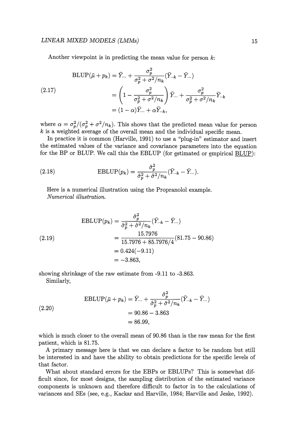Another viewpoint is in predicting the mean value for person  $k$ .

$$
BLUP(\bar{\mu} + p_k) = \bar{Y}_{...} + \frac{\sigma_p^2}{\sigma_p^2 + \sigma^2/n_k} (\bar{Y}_{..k} - \bar{Y}_{...})
$$
  

$$
= \left(1 - \frac{\sigma_p^2}{\sigma_p^2 + \sigma^2/n_k}\right) \bar{Y}_{...} + \frac{\sigma_p^2}{\sigma_p^2 + \sigma^2/n_k} \bar{Y}_{..k}
$$
  

$$
= (1 - \alpha)\bar{Y}_{...} + \alpha \bar{Y}_{..k},
$$

where  $\alpha = \frac{\sigma_p^2}{(\sigma_p^2 + \sigma^2/n_k)}$ . This shows that the predicted mean value for person *k* is a weighted average of the overall mean and the individual specific mean.

In practice it is common (Harville, 1991) to use a "plug-in" estimator and insert the estimated values of the variance and covariance parameters into the equation for the BP or BLUP. We call this the EBLUP (for estimated or empirical BLUP):

(2.18) 
$$
\text{EBLUP}(p_k) = \frac{\hat{\sigma}_p^2}{\hat{\sigma}_p^2 + \hat{\sigma}^2/n_k} (\bar{Y}_{\cdot,k} - \bar{Y}_{\cdot\cdot\cdot}).
$$

Here is a numerical illustration using the Propranolol example. *Numerical illustration.* 

$$
\begin{aligned} \text{EBLUP}(p_k) &= \frac{\hat{\sigma}_p^2}{\hat{\sigma}_p^2 + \hat{\sigma}^2/n_k} (\bar{Y}_{\cdot,k} - \bar{Y}_{\cdot\cdot\cdot}) \\ &= \frac{15.7976}{15.7976 + 85.7976/4} (81.75 - 90.86) \\ &= 0.424(-9.11) \\ &= -3.863, \end{aligned}
$$

showing shrinkage of the raw estimate from -9.11 to -3.863.

Similarly,

$$
\text{EBLUP}(\bar{\mu} + p_k) = \bar{Y}_{...} + \frac{\hat{\sigma}_p^2}{\hat{\sigma}_p^2 + \hat{\sigma}^2/n_k} (\bar{Y}_{..k} - \bar{Y}_{...})
$$
  
= 90.86 - 3.863  
= 86.99,

which is much closer to the overall mean of 90.86 than is the raw mean for the first patient, which is 81.75.

A primary message here is that we can declare a factor to be random but still be interested in and have the ability to obtain predictions for the specific levels of that factor.

What about standard errors for the EBPs or EBLUPs? This is somewhat difficult since, for most designs, the sampling distribution of the estimated variance components is unknown and therefore difficult to factor in to the calculations of variances and SEs (see, e.g., Kackar and Harville, 1984; Harville and Jeske, 1992).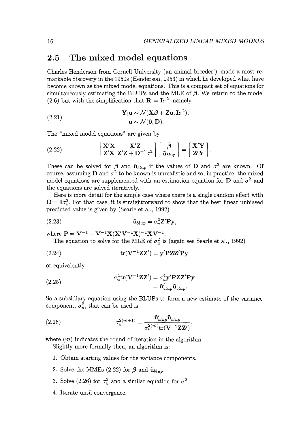### 2.5 The mixed model equations

Charles Henderson from Cornell University (an animal breeder!) made a most remarkable discovery in the 1950s (Henderson, 1953) in which he developed what have become known as the mixed model equations. This is a compact set of equations for simultaneously estimating the BLUPs and the MLE of  $\beta$ . We return to the model (2.6) but with the simplification that  $\mathbf{R} = \mathbf{I}\sigma^2$ , namely,

(2.21) 
$$
\mathbf{Y}|\mathbf{u} \sim \mathcal{N}(\mathbf{X}\boldsymbol{\beta} + \mathbf{Z}\mathbf{u}, \mathbf{I}\sigma^2),
$$

$$
\mathbf{u} \sim \mathcal{N}(\mathbf{0}, \mathbf{D}).
$$

The "mixed model equations" are given by

(2.22) 
$$
\begin{bmatrix} \mathbf{X}'\mathbf{X} & \mathbf{X}'\mathbf{Z} \\ \mathbf{Z}'\mathbf{X} & \mathbf{Z}'\mathbf{Z} + \mathbf{D}^{-1}\sigma^2 \end{bmatrix} \begin{bmatrix} \hat{\boldsymbol{\beta}} \\ \tilde{\mathbf{u}}_{blup} \end{bmatrix} = \begin{bmatrix} \mathbf{X}'\mathbf{Y} \\ \mathbf{Z}'\mathbf{Y} \end{bmatrix}.
$$

These can be solved for  $\beta$  and  $\tilde{u}_{bluv}$  if the values of **D** and  $\sigma^2$  are known. Of course, assuming **D** and  $\sigma^2$  to be known is unrealistic and so, in practice, the mixed model equations are supplemented with an estimation equation for **D** and  $\sigma^2$  and the equations are solved iteratively.

Here is more detail for the simple case where there is a single random effect with  $\mathbf{D} = \mathbf{I}\sigma_v^2$ . For that case, it is straightforward to show that the best linear unbiased predicted value is given by (Searle et al., 1992)

(2.23) 
$$
\tilde{\mathbf{u}}_{blup} = \sigma_u^2 \mathbf{Z}' \mathbf{Py},
$$

where  $P = V^{-1} - V^{-1}X(X'V^{-1}X)^{-1}XV^{-1}$ .

The equation to solve for the MLE of  $\sigma_u^2$  is (again see Searle et al., 1992)

(2.24) 
$$
\operatorname{tr}(\mathbf{V}^{-1}\mathbf{Z}\mathbf{Z}') = \mathbf{y}'\mathbf{P}\mathbf{Z}\mathbf{Z}'\mathbf{P}\mathbf{y}
$$

or equivalently

(2.25) 
$$
\sigma_u^4 \text{tr}(\mathbf{V}^{-1} \mathbf{Z} \mathbf{Z}') = \sigma_u^4 \mathbf{y}' \mathbf{P} \mathbf{Z} \mathbf{Z}' \mathbf{P} \mathbf{y} = \tilde{\mathbf{u}}'_{blup} \tilde{\mathbf{u}}_{blup}.
$$

So a subsidiary equation using the BL UPs to form a new estimate of the variance component,  $\sigma_u^2$ , that can be used is

(2.26) 
$$
\sigma_u^{2(m+1)} = \frac{\tilde{\mathbf{u}}_{blup}' \tilde{\mathbf{u}}_{blup}}{\sigma_u^{2(m)} \text{tr}(\mathbf{V}^{-1} \mathbf{Z} \mathbf{Z}')} ,
$$

where  $(m)$  indicates the round of iteration in the algorithm.

Slightly more formally then, an algorithm is:

- 1. Obtain starting values for the variance components.
- 2. Solve the MMEs  $(2.22)$  for  $\beta$  and  $\tilde{\mathbf{u}}_{blup}$ .
- 3. Solve (2.26) for  $\sigma_u^2$  and a similar equation for  $\sigma^2$ .
- 4. Iterate until convergence.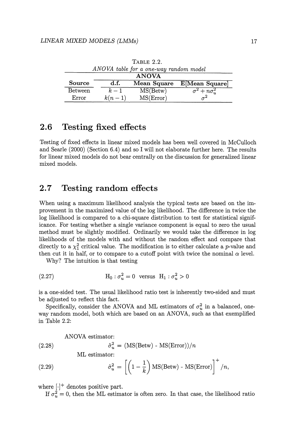| ANOVA table for a one-way random model |          |             |                           |  |  |  |  |
|----------------------------------------|----------|-------------|---------------------------|--|--|--|--|
| <b>ANOVA</b>                           |          |             |                           |  |  |  |  |
| Source                                 | d.f.     | Mean Square | E[Mean Square]            |  |  |  |  |
| Between                                | $k=1$    | MS(Betw)    | $\sigma^2 + n \sigma_u^2$ |  |  |  |  |
| Error                                  | $k(n-1)$ | MS(Error)   |                           |  |  |  |  |

TABLE 2.2.

## **2.6 Testing fixed effects**

Testing of fixed effects in linear mixed models has been well covered in McCulloch and Searle (2000) (Section 6.4) and so I will not elaborate further here. The results for linear mixed models do not bear centrally on the discussion for generalized linear mixed models.

## **2. 7 Testing random effects**

When using a maximum likelihood analysis the typical tests are based on the improvement in the maximized value of the log likelihood. The difference in twice the log likelihood is compared to a chi-square distribution to test for statistical significance. For testing whether a single variance component is equal to zero the usual method must be slightly modified. Ordinarily we would take the difference in log likelihoods of the models with and without the random effect and compare that directly to a  $\chi^2$  critical value. The modification is to either calculate a p-value and then cut it in half, or to compare to a cutoff point with twice the nominal  $\alpha$  level.

Why? The intuition is that testing

(2.27) 
$$
H_0: \sigma_u^2 = 0 \text{ versus } H_1: \sigma_u^2 > 0
$$

is a one-sided test. The usual likelihood ratio test is inherently two-sided and must be adjusted to reflect this fact.

Specifically, consider the ANOVA and ML estimators of  $\sigma_u^2$  in a balanced, oneway random model, both which are based on an ANOVA, such as that exemplified in Table 2.2:

(2.28)

\n
$$
\hat{\sigma}_{u}^{2} = \left(\text{MS}(\text{Between}) - \text{MS}(\text{Error})\right) / n
$$
\nML estimator:

\n
$$
\hat{\sigma}_{u}^{2} = \left[\left(1 - \frac{1}{k}\right) \text{MS}(\text{Between}) - \text{MS}(\text{Error})\right]^{+} / n,
$$

where  $[\cdot]^+$  denotes positive part.

If  $\sigma_u^2 = 0$ , then the ML estimator is often zero. In that case, the likelihood ratio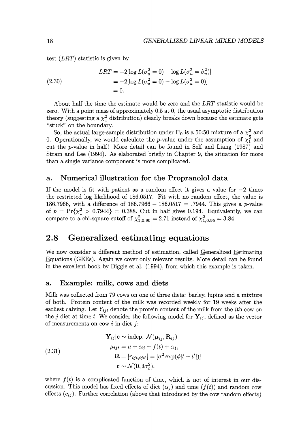test *(LRT)* statistic is given by

(2.30)  
\n
$$
LRT = -2[\log L(\sigma_u^2 = 0) - \log L(\sigma_u^2 = \hat{\sigma}_u^2)]
$$
\n
$$
= -2[\log L(\sigma_u^2 = 0) - \log L(\sigma_u^2 = 0)]
$$
\n
$$
= 0.
$$

About half the time the estimate would be zero and the *LRT* statistic would be zero. With a point mass of approximately 0.5 at 0, the usual asymptotic distribution theory (suggesting a  $\chi_1^2$  distribution) clearly breaks down because the estimate gets "stuck" on the boundary.

So, the actual large-sample distribution under  $H_0$  is a 50:50 mixture of a  $\chi_1^2$  and 0. Operationally, we would calculate the *p*-value under the assumption of  $\chi_1^2$  and cut the p-value in half! More detail can be found in Self and Liang (1987) and Stram and Lee (1994). As elaborated briefly in Chapter 9, the situation for more than a single variance component is more complicated.

#### **a. Numerical illustration for the Propranolol data**

If the model is fit with patient as a random effect it gives a value for  $-2$  times the restricted log likelihood of 186.0517. Fit with no random effect, the value is 186.7966, with a difference of  $186.7966 - 186.0517 = .7944$ . This gives a p-value of  $p = \Pr{\chi_1^2 > 0.7944} = 0.388$ . Cut in half gives 0.194. Equivalently, we can compare to a chi-square cutoff of  $\chi_{1,0.90}^2 = 2.71$  instead of  $\chi_{1,0.95}^2 = 3.84$ .

## **2.8 Generalized estimating equations**

We now consider a different method of estimation, called Generalized Estimating Equations (GEEs). Again we cover only relevant results. More detail can be found in the excellent book by Diggle et al. (1994), from which this example is taken.

#### **a. Example: milk, cows and diets**

Milk was collected from 79 cows on one of three diets: barley, lupins and a mixture of both. Protein content of the milk was recorded weekly for 19 weeks after the earliest calving. Let  $Y_{ijt}$  denote the protein content of the milk from the *i*th cow on the j diet at time t. We consider the following model for  $Y_{ij}$ , defined as the vector of measurements on cow  $i$  in diet  $j$ :

(2.31)  
\n
$$
\mathbf{Y}_{ij}|\mathbf{c} \sim \text{indep.} \mathcal{N}(\boldsymbol{\mu}_{ij}, \mathbf{R}_{ij})
$$
\n
$$
\mu_{ijt} = \mu + c_{ij} + f(t) + \alpha_j,
$$
\n
$$
\mathbf{R} = [r_{ijt,ijt'}] = [\sigma^2 \exp(\phi|t - t'])]
$$
\n
$$
\mathbf{c} \sim \mathcal{N}(\mathbf{0}, \mathbf{I}\sigma_c^2),
$$

where  $f(t)$  is a complicated function of time, which is not of interest in our discussion. This model has fixed effects of diet  $(\alpha_i)$  and time  $(f(t))$  and random cow effects  $(c_{ij})$ . Further correlation (above that introduced by the cow random effects)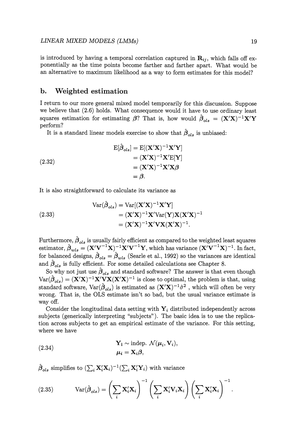is introduced by having a temporal correlation captured in  $\mathbf{R}_{ij}$ , which falls off exponentially as the time points become farther and farther apart. What would be an alternative to maximum likelihood as a way to form estimates for this model?

#### b. Weighted estimation

I return to our more general mixed model temporarily for this discussion. Suppose we believe that (2.6) holds. What consequence would it have to use ordinary least squares estimation for estimating  $\beta$ ? That is, how would  $\hat{\beta}_{ols} = (\mathbf{X}'\mathbf{X})^{-1}\mathbf{X}'\mathbf{Y}$ perform?

It is a standard linear models exercise to show that  $\beta_{ols}$  is unbiased:

$$
E[\hat{\boldsymbol{\beta}}_{ols}] = E[(\mathbf{X}'\mathbf{X})^{-1}\mathbf{X}'\mathbf{Y}]
$$
  
\n
$$
= (\mathbf{X}'\mathbf{X})^{-1}\mathbf{X}'E[\mathbf{Y}]
$$
  
\n
$$
= (\mathbf{X}'\mathbf{X})^{-1}\mathbf{X}'\mathbf{X}\boldsymbol{\beta}
$$
  
\n
$$
= \boldsymbol{\beta}.
$$

It is also straightforward to calculate its variance as

(2.33)  
\n
$$
\operatorname{Var}(\hat{\beta}_{ols}) = \operatorname{Var}[(\mathbf{X}'\mathbf{X})^{-1}\mathbf{X}'\mathbf{Y}]
$$
\n
$$
= (\mathbf{X}'\mathbf{X})^{-1}\mathbf{X}'\operatorname{Var}(\mathbf{Y})\mathbf{X}(\mathbf{X}'\mathbf{X})^{-1}
$$
\n
$$
= (\mathbf{X}'\mathbf{X})^{-1}\mathbf{X}'\mathbf{V}\mathbf{X}(\mathbf{X}'\mathbf{X})^{-1}.
$$

Furthermore,  $\beta_{ols}$  is usually fairly efficient as compared to the weighted least squares estimator,  $\hat{\boldsymbol{\beta}}_{wls} = (\mathbf{X}'\mathbf{V}^{-1}\mathbf{X})^{-1}\mathbf{X}'\mathbf{V}^{-1}\mathbf{Y}$ , which has variance  $(\mathbf{X}'\mathbf{V}^{-1}\mathbf{X})^{-1}$ . In fact, for balanced designs,  $\hat{\beta}_{ols} = \hat{\beta}_{wls}$  (Searle et al., 1992) so the variances are identical and  $\beta_{ols}$  is fully efficient. For some detailed calculations see Chapter 8.

So why not just use  $\hat{\beta}_{ols}$  and standard software? The answer is that even though  $Var(\hat{\beta}_{ols}) = (\mathbf{X}'\mathbf{X})^{-1}\mathbf{X}'\mathbf{V}\mathbf{X}(\mathbf{X}'\mathbf{X})^{-1}$  is close to optimal, the problem is that, using standard software,  $\text{Var}(\hat{\beta}_{ols})$  is estimated as  $(\mathbf{X}'\mathbf{X})^{-1}\hat{\sigma}^2$ , which will often be very wrong. That is, the OLS estimate isn't so bad, but the usual variance estimate is way off.

Consider the longitudinal data setting with  $Y_i$  distributed independently across subjects (generically interpreting "subjects"). The basic idea is to use the replication across subjects to get an empirical estimate of the variance. For this setting, where we have

(2.34) 
$$
\mathbf{Y_i} \sim \text{indep. } \mathcal{N}(\boldsymbol{\mu}_i, \mathbf{V}_i),
$$

$$
\boldsymbol{\mu_i} = \mathbf{X}_i \boldsymbol{\beta},
$$

 $\hat{\boldsymbol{\beta}}_{ols}$  simplifies to  $(\sum_{i} \mathbf{X}'_i \mathbf{X}_i)^{-1} (\sum_{i} \mathbf{X}'_i \mathbf{Y}_i)$  with variance

(2.35) 
$$
Var(\hat{\boldsymbol{\beta}}_{ols}) = \left(\sum_{i} \mathbf{X}_{i}^{\prime} \mathbf{X}_{i}\right)^{-1} \left(\sum_{i} \mathbf{X}_{i}^{\prime} \mathbf{V}_{i} \mathbf{X}_{i}\right) \left(\sum_{i} \mathbf{X}_{i}^{\prime} \mathbf{X}_{i}\right)^{-1}.
$$